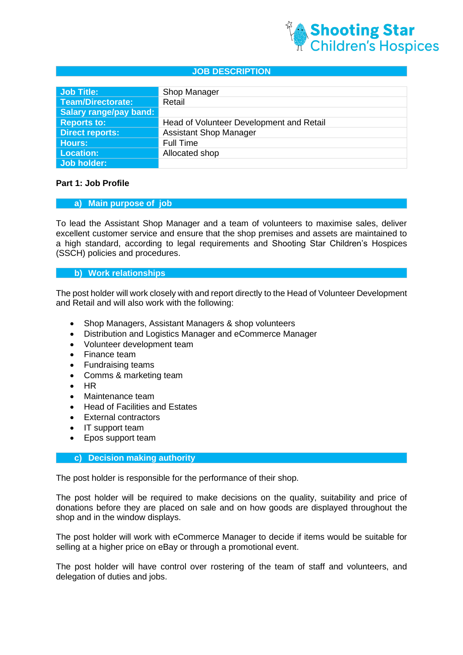

#### **JOB DESCRIPTION**

| Job Title:             | Shop Manager                             |
|------------------------|------------------------------------------|
| Team/Directorate:      | Retail                                   |
| Salary range/pay band: |                                          |
| <b>Reports to:</b>     | Head of Volunteer Development and Retail |
| <b>Direct reports:</b> | <b>Assistant Shop Manager</b>            |
| <b>Hours:</b>          | <b>Full Time</b>                         |
| <b>Location:</b>       | Allocated shop                           |
| Job holder:            |                                          |

### **Part 1: Job Profile**

#### **a) Main purpose of job**

To lead the Assistant Shop Manager and a team of volunteers to maximise sales, deliver excellent customer service and ensure that the shop premises and assets are maintained to a high standard, according to legal requirements and Shooting Star Children's Hospices (SSCH) policies and procedures.

#### **b) Work relationships**

The post holder will work closely with and report directly to the Head of Volunteer Development and Retail and will also work with the following:

- Shop Managers, Assistant Managers & shop volunteers
- Distribution and Logistics Manager and eCommerce Manager
- Volunteer development team
- Finance team
- Fundraising teams
- Comms & marketing team
- HR
- Maintenance team
- Head of Facilities and Estates
- External contractors
- IT support team
- Epos support team

### **c) Decision making authority**

The post holder is responsible for the performance of their shop.

The post holder will be required to make decisions on the quality, suitability and price of donations before they are placed on sale and on how goods are displayed throughout the shop and in the window displays.

The post holder will work with eCommerce Manager to decide if items would be suitable for selling at a higher price on eBay or through a promotional event.

The post holder will have control over rostering of the team of staff and volunteers, and delegation of duties and jobs.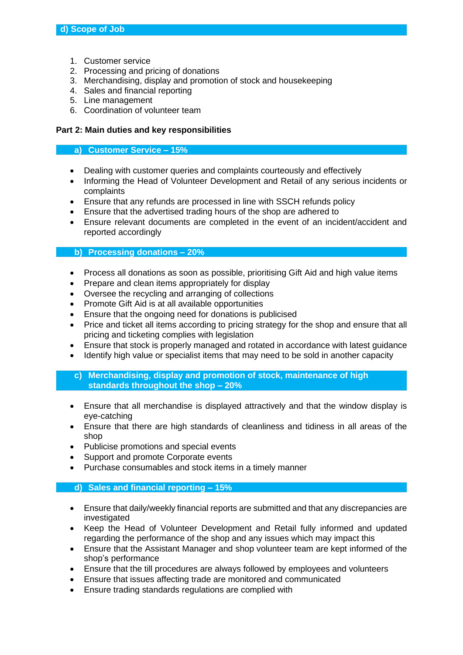- 1. Customer service
- 2. Processing and pricing of donations
- 3. Merchandising, display and promotion of stock and housekeeping
- 4. Sales and financial reporting
- 5. Line management
- 6. Coordination of volunteer team

# **Part 2: Main duties and key responsibilities**

#### **a) Customer Service – 15%**

- Dealing with customer queries and complaints courteously and effectively
- Informing the Head of Volunteer Development and Retail of any serious incidents or complaints
- Ensure that any refunds are processed in line with SSCH refunds policy
- Ensure that the advertised trading hours of the shop are adhered to
- Ensure relevant documents are completed in the event of an incident/accident and reported accordingly

### **b) Processing donations – 20%**

- Process all donations as soon as possible, prioritising Gift Aid and high value items
- Prepare and clean items appropriately for display
- Oversee the recycling and arranging of collections
- Promote Gift Aid is at all available opportunities
- Ensure that the ongoing need for donations is publicised
- Price and ticket all items according to pricing strategy for the shop and ensure that all pricing and ticketing complies with legislation
- Ensure that stock is properly managed and rotated in accordance with latest guidance
- Identify high value or specialist items that may need to be sold in another capacity
- **c) Merchandising, display and promotion of stock, maintenance of high standards throughout the shop – 20%**
- Ensure that all merchandise is displayed attractively and that the window display is eye-catching
- Ensure that there are high standards of cleanliness and tidiness in all areas of the shop
- Publicise promotions and special events
- Support and promote Corporate events
- Purchase consumables and stock items in a timely manner

# **d) Sales and financial reporting – 15%**

- Ensure that daily/weekly financial reports are submitted and that any discrepancies are investigated
- Keep the Head of Volunteer Development and Retail fully informed and updated regarding the performance of the shop and any issues which may impact this
- Ensure that the Assistant Manager and shop volunteer team are kept informed of the shop's performance
- Ensure that the till procedures are always followed by employees and volunteers
- Ensure that issues affecting trade are monitored and communicated
- Ensure trading standards regulations are complied with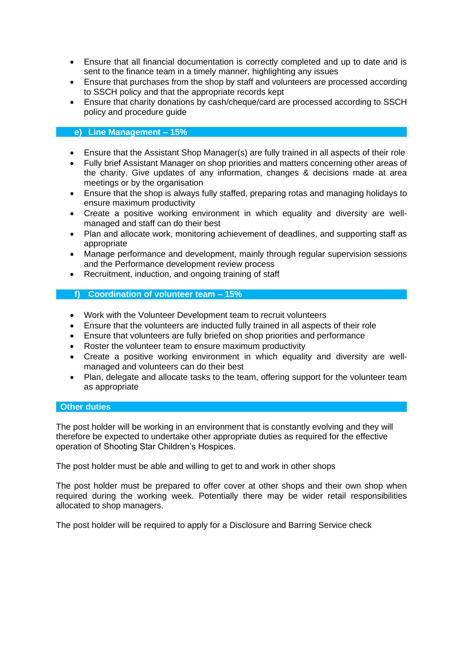- Ensure that all financial documentation is correctly completed and up to date and is sent to the finance team in a timely manner, highlighting any issues
- Ensure that purchases from the shop by staff and volunteers are processed according to SSCH policy and that the appropriate records kept
- Ensure that charity donations by cash/cheque/card are processed according to SSCH policy and procedure guide

# **e) Line Management – 15%**

- Ensure that the Assistant Shop Manager(s) are fully trained in all aspects of their role
- Fully brief Assistant Manager on shop priorities and matters concerning other areas of the charity. Give updates of any information, changes & decisions made at area meetings or by the organisation
- Ensure that the shop is always fully staffed, preparing rotas and managing holidays to ensure maximum productivity
- Create a positive working environment in which equality and diversity are wellmanaged and staff can do their best
- Plan and allocate work, monitoring achievement of deadlines, and supporting staff as appropriate
- Manage performance and development, mainly through regular supervision sessions and the Performance development review process
- Recruitment, induction, and ongoing training of staff

### **f) Coordination of volunteer team – 15%**

- Work with the Volunteer Development team to recruit volunteers
- Ensure that the volunteers are inducted fully trained in all aspects of their role
- Ensure that volunteers are fully briefed on shop priorities and performance
- Roster the volunteer team to ensure maximum productivity
- Create a positive working environment in which equality and diversity are wellmanaged and volunteers can do their best
- Plan, delegate and allocate tasks to the team, offering support for the volunteer team as appropriate

### **Other duties**

The post holder will be working in an environment that is constantly evolving and they will therefore be expected to undertake other appropriate duties as required for the effective operation of Shooting Star Children's Hospices.

The post holder must be able and willing to get to and work in other shops

The post holder must be prepared to offer cover at other shops and their own shop when required during the working week. Potentially there may be wider retail responsibilities allocated to shop managers.

The post holder will be required to apply for a Disclosure and Barring Service check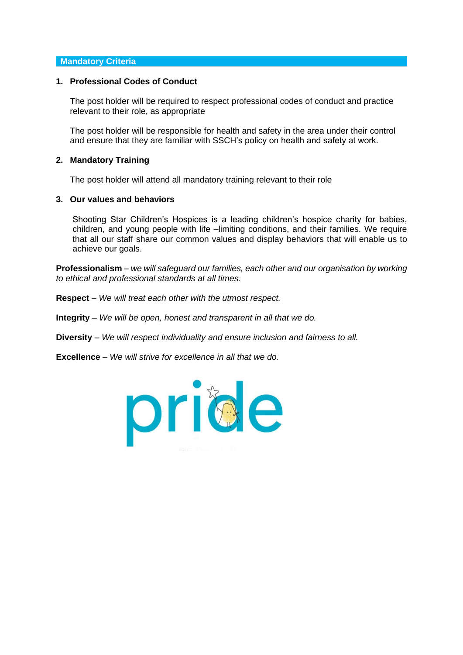#### **Mandatory Criteria**

### **1. Professional Codes of Conduct**

The post holder will be required to respect professional codes of conduct and practice relevant to their role, as appropriate

The post holder will be responsible for health and safety in the area under their control and ensure that they are familiar with SSCH's policy on health and safety at work.

#### **2. Mandatory Training**

The post holder will attend all mandatory training relevant to their role

#### **3. Our values and behaviors**

Shooting Star Children's Hospices is a leading children's hospice charity for babies, children, and young people with life –limiting conditions, and their families. We require that all our staff share our common values and display behaviors that will enable us to achieve our goals.

**Professionalism** – *we will safeguard our families, each other and our organisation by working to ethical and professional standards at all times.*

- **Respect** *We will treat each other with the utmost respect.*
- **Integrity** *We will be open, honest and transparent in all that we do.*
- **Diversity** *We will respect individuality and ensure inclusion and fairness to all.*
- **Excellence** *We will strive for excellence in all that we do.*